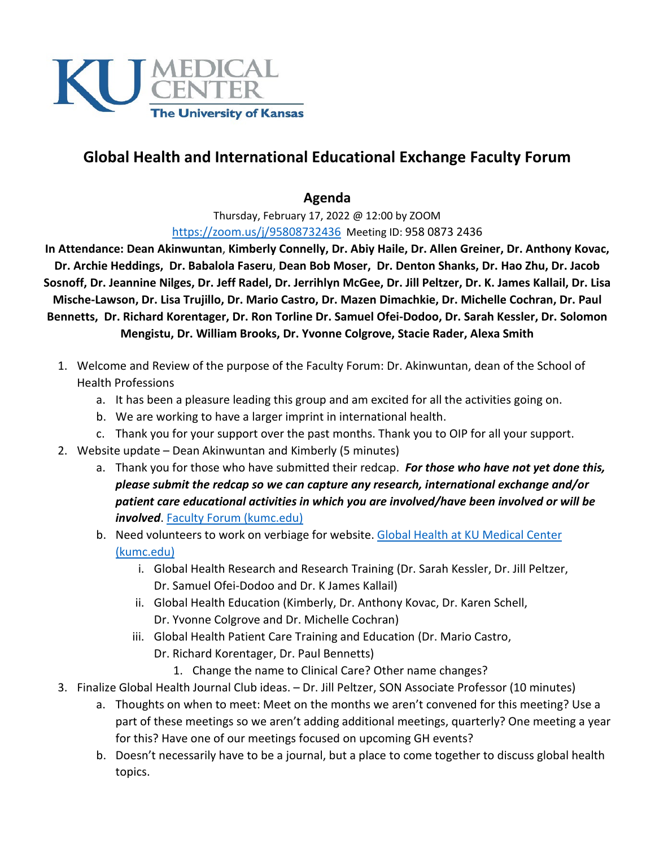

## **Global Health and International Educational Exchange Faculty Forum**

## **Agenda**

Thursday, February 17, 2022 @ 12:00 by ZOOM <https://zoom.us/j/95808732436>Meeting ID: 958 0873 2436

**In Attendance: Dean Akinwuntan**, **Kimberly Connelly, Dr. Abiy Haile, Dr. Allen Greiner, Dr. Anthony Kovac, Dr. Archie Heddings, Dr. Babalola Faseru**, **Dean Bob Moser, Dr. Denton Shanks, Dr. Hao Zhu, Dr. Jacob Sosnoff, Dr. Jeannine Nilges, Dr. Jeff Radel, Dr. Jerrihlyn McGee, Dr. Jill Peltzer, Dr. K. James Kallail, Dr. Lisa Mische-Lawson, Dr. Lisa Trujillo, Dr. Mario Castro, Dr. Mazen Dimachkie, Dr. Michelle Cochran, Dr. Paul Bennetts, Dr. Richard Korentager, Dr. Ron Torline Dr. Samuel Ofei-Dodoo, Dr. Sarah Kessler, Dr. Solomon Mengistu, Dr. William Brooks, Dr. Yvonne Colgrove, Stacie Rader, Alexa Smith**

- 1. Welcome and Review of the purpose of the Faculty Forum: Dr. Akinwuntan, dean of the School of Health Professions
	- a. It has been a pleasure leading this group and am excited for all the activities going on.
	- b. We are working to have a larger imprint in international health.
	- c. Thank you for your support over the past months. Thank you to OIP for all your support.
- 2. Website update Dean Akinwuntan and Kimberly (5 minutes)
	- a. Thank you for those who have submitted their redcap. *For those who have not yet done this, please submit the redcap so we can capture any research, international exchange and/or patient care educational activities in which you are involved/have been involved or will be involved*. [Faculty Forum \(kumc.edu\)](https://www.kumc.edu/outreach/global-health/faculty-forum.html)
	- b. Need volunteers to work on verbiage for website. Global Health at KU Medical Center [\(kumc.edu\)](https://www.kumc.edu/outreach/global-health.html)
		- i. Global Health Research and Research Training (Dr. Sarah Kessler, Dr. Jill Peltzer, Dr. Samuel Ofei-Dodoo and Dr. K James Kallail)
		- ii. Global Health Education (Kimberly, Dr. Anthony Kovac, Dr. Karen Schell, Dr. Yvonne Colgrove and Dr. Michelle Cochran)
		- iii. Global Health Patient Care Training and Education (Dr. Mario Castro, Dr. Richard Korentager, Dr. Paul Bennetts)
			- 1. Change the name to Clinical Care? Other name changes?
- 3. Finalize Global Health Journal Club ideas. Dr. Jill Peltzer, SON Associate Professor (10 minutes)
	- a. Thoughts on when to meet: Meet on the months we aren't convened for this meeting? Use a part of these meetings so we aren't adding additional meetings, quarterly? One meeting a year for this? Have one of our meetings focused on upcoming GH events?
	- b. Doesn't necessarily have to be a journal, but a place to come together to discuss global health topics.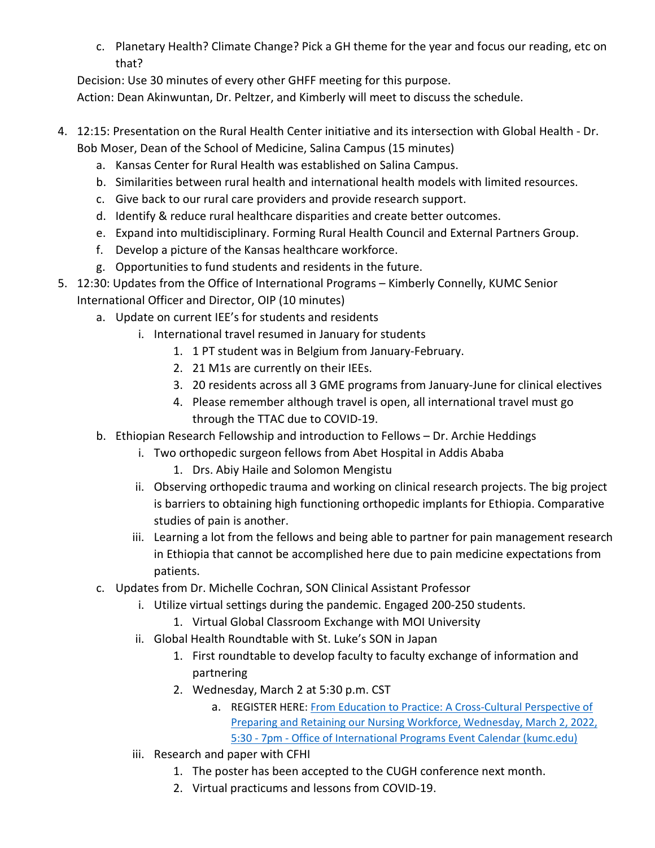c. Planetary Health? Climate Change? Pick a GH theme for the year and focus our reading, etc on that?

Decision: Use 30 minutes of every other GHFF meeting for this purpose.

Action: Dean Akinwuntan, Dr. Peltzer, and Kimberly will meet to discuss the schedule.

- 4. 12:15: Presentation on the Rural Health Center initiative and its intersection with Global Health Dr. Bob Moser, Dean of the School of Medicine, Salina Campus (15 minutes)
	- a. Kansas Center for Rural Health was established on Salina Campus.
	- b. Similarities between rural health and international health models with limited resources.
	- c. Give back to our rural care providers and provide research support.
	- d. Identify & reduce rural healthcare disparities and create better outcomes.
	- e. Expand into multidisciplinary. Forming Rural Health Council and External Partners Group.
	- f. Develop a picture of the Kansas healthcare workforce.
	- g. Opportunities to fund students and residents in the future.
- 5. 12:30: Updates from the Office of International Programs Kimberly Connelly, KUMC Senior International Officer and Director, OIP (10 minutes)
	- a. Update on current IEE's for students and residents
		- i. International travel resumed in January for students
			- 1. 1 PT student was in Belgium from January-February.
			- 2. 21 M1s are currently on their IEEs.
			- 3. 20 residents across all 3 GME programs from January-June for clinical electives
			- 4. Please remember although travel is open, all international travel must go through the TTAC due to COVID-19.
	- b. Ethiopian Research Fellowship and introduction to Fellows Dr. Archie Heddings
		- i. Two orthopedic surgeon fellows from Abet Hospital in Addis Ababa
			- 1. Drs. Abiy Haile and Solomon Mengistu
			- ii. Observing orthopedic trauma and working on clinical research projects. The big project is barriers to obtaining high functioning orthopedic implants for Ethiopia. Comparative studies of pain is another.
			- iii. Learning a lot from the fellows and being able to partner for pain management research in Ethiopia that cannot be accomplished here due to pain medicine expectations from patients.
	- c. Updates from Dr. Michelle Cochran, SON Clinical Assistant Professor
		- i. Utilize virtual settings during the pandemic. Engaged 200-250 students.
			- 1. Virtual Global Classroom Exchange with MOI University
		- ii. Global Health Roundtable with St. Luke's SON in Japan
			- 1. First roundtable to develop faculty to faculty exchange of information and partnering
			- 2. Wednesday, March 2 at 5:30 p.m. CST
				- a. REGISTER HERE: [From Education to Practice: A Cross-Cultural Perspective of](https://www.kumc.edu/academic-and-student-affairs/departments/office-of-international-programs/events/events-calendar.html?trumbaEmbed=view%3Devent%26eventid%3D157610755)  Preparing [and Retaining our Nursing Workforce, Wednesday, March 2, 2022,](https://www.kumc.edu/academic-and-student-affairs/departments/office-of-international-programs/events/events-calendar.html?trumbaEmbed=view%3Devent%26eventid%3D157610755)  5:30 - 7pm - [Office of International Programs Event Calendar \(kumc.edu\)](https://www.kumc.edu/academic-and-student-affairs/departments/office-of-international-programs/events/events-calendar.html?trumbaEmbed=view%3Devent%26eventid%3D157610755)
		- iii. Research and paper with CFHI
			- 1. The poster has been accepted to the CUGH conference next month.
			- 2. Virtual practicums and lessons from COVID-19.